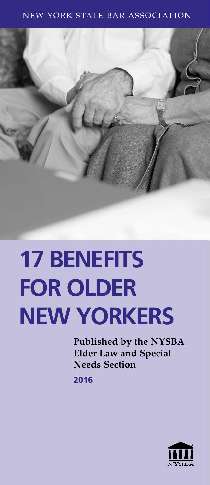#### NEW YORK STATE BAR ASSOCIATION



# **17 BENEFITS FOR OLDER NEW YORKERS**

**Published by the NYSBA Elder Law and Special Needs Section**

2016

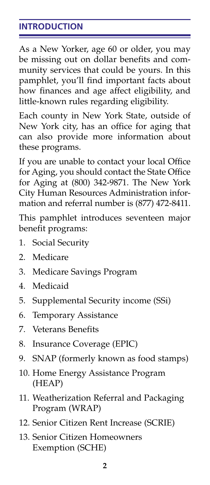# **INTRODUCTION**

As a New Yorker, age 60 or older, you may be missing out on dollar benefits and community services that could be yours. In this pamphlet, you'll find important facts about how finances and age affect eligibility, and little-known rules regarding eligibility.

Each county in New York State, outside of New York city, has an office for aging that can also provide more information about these programs.

If you are unable to contact your local Office for Aging, you should contact the State Office for Aging at (800) 342-9871. The New York City Human Resources Administration information and referral number is (877) 472-8411.

This pamphlet introduces seventeen major benefit programs:

- 1. Social Security
- 2. Medicare
- 3. Medicare Savings Program
- 4. Medicaid
- 5. Supplemental Security income (SSi)
- 6. Temporary Assistance
- 7. Veterans Benefits
- 8. Insurance Coverage (EPIC)
- 9. SNAP (formerly known as food stamps)
- 10. Home Energy Assistance Program (HEAP)
- 11. Weatherization Referral and Packaging Program (WRAP)
- 12. Senior Citizen Rent Increase (SCRIE)
- 13. Senior Citizen Homeowners Exemption (SCHE)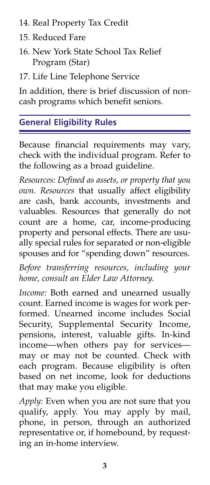- 14. Real Property Tax Credit
- 15. Reduced Fare
- 16. New York State School Tax Relief Program (Star)
- 17. Life Line Telephone Service

In addition, there is brief discussion of noncash programs which benefit seniors.

# **General Eligibility Rules**

Because financial requirements may vary, check with the individual program. Refer to the following as a broad guideline.

*Resources: Defined as assets, or property that you own. Resources* that usually affect eligibility are cash, bank accounts, investments and valuables. Resources that generally do not count are a home, car, income-producing property and personal effects. There are usually special rules for separated or non-eligible spouses and for "spending down" resources.

*Before transferring resources, including your home, consult an Elder Law Attorney.*

*Income:* Both earned and unearned usually count. Earned income is wages for work performed. Unearned income includes Social Security, Supplemental Security Income, pensions, interest, valuable gifts. In-kind income—when others pay for services may or may not be counted. Check with each program. Because eligibility is often based on net income, look for deductions that may make you eligible.

*Apply:* Even when you are not sure that you qualify, apply. You may apply by mail, phone, in person, through an authorized representative or, if homebound, by requesting an in-home interview.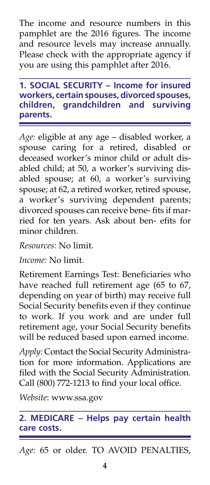The income and resource numbers in this pamphlet are the 2016 figures. The income and resource levels may increase annually. Please check with the appropriate agency if you are using this pamphlet after 2016.

**1. SOCIAL SECURITY – Income for insured workers, certain spouses, divorced spouses, children, grandchildren and surviving parents.**

*Age:* eligible at any age – disabled worker, a spouse caring for a retired, disabled or deceased worker's minor child or adult disabled child; at 50, a worker's surviving disabled spouse; at 60, a worker's surviving spouse; at 62, a retired worker, retired spouse, a worker's surviving dependent parents; divorced spouses can receive bene- fits if married for ten years. Ask about ben- efits for minor children.

*Resources:* No limit.

*Income:* No limit.

Retirement Earnings Test: Beneficiaries who have reached full retirement age (65 to 67, depending on year of birth) may receive full Social Security benefits even if they continue to work. If you work and are under full retirement age, your Social Security benefits will be reduced based upon earned income.

*Apply:* Contact the Social Security Administration for more information. Applications are filed with the Social Security Administration. Call (800) 772-1213 to find your local office.

*Website*: www.ssa.gov

# **2. MEDICARE – Helps pay certain health care costs.**

*Age:* 65 or older. TO AVOID PENALTIES,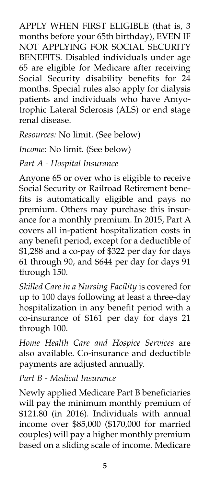APPLY WHEN FIRST ELIGIBLE (that is, 3 months before your 65th birthday), EVEN IF NOT APPLYING FOR SOCIAL SECURITY BENEFITS. Disabled individuals under age 65 are eligible for Medicare after receiving Social Security disability benefits for 24 months. Special rules also apply for dialysis patients and individuals who have Amyotrophic Lateral Sclerosis (ALS) or end stage renal disease.

*Resources:* No limit. (See below)

*Income:* No limit. (See below)

*Part A - Hospital Insurance*

Anyone 65 or over who is eligible to receive Social Security or Railroad Retirement benefits is automatically eligible and pays no premium. Others may purchase this insurance for a monthly premium. In 2015, Part A covers all in-patient hospitalization costs in any benefit period, except for a deductible of \$1,288 and a co-pay of \$322 per day for days 61 through 90, and \$644 per day for days 91 through 150.

*Skilled Care in a Nursing Facility* is covered for up to 100 days following at least a three-day hospitalization in any benefit period with a co-insurance of \$161 per day for days 21 through 100.

*Home Health Care and Hospice Services* are also available. Co-insurance and deductible payments are adjusted annually.

*Part B - Medical Insurance*

Newly applied Medicare Part B beneficiaries will pay the minimum monthly premium of \$121.80 (in 2016). Individuals with annual income over \$85,000 (\$170,000 for married couples) will pay a higher monthly premium based on a sliding scale of income. Medicare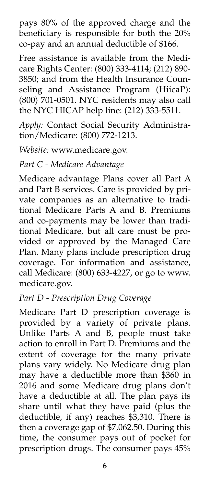pays 80% of the approved charge and the beneficiary is responsible for both the 20% co-pay and an annual deductible of \$166.

Free assistance is available from the Medicare Rights Center: (800) 333-4114; (212) 890- 3850; and from the Health Insurance Counseling and Assistance Program (HiicaP): (800) 701-0501. NYC residents may also call the NYC HICAP help line: (212) 333-5511.

*Apply:* Contact Social Security Administration/Medicare: (800) 772-1213.

*Website:* www.medicare.gov.

*Part C - Medicare Advantage*

Medicare advantage Plans cover all Part A and Part B services. Care is provided by private companies as an alternative to traditional Medicare Parts A and B. Premiums and co-payments may be lower than traditional Medicare, but all care must be provided or approved by the Managed Care Plan. Many plans include prescription drug coverage. For information and assistance, call Medicare: (800) 633-4227, or go to www. medicare.gov.

#### *Part D - Prescription Drug Coverage*

Medicare Part D prescription coverage is provided by a variety of private plans. Unlike Parts A and B, people must take action to enroll in Part D. Premiums and the extent of coverage for the many private plans vary widely. No Medicare drug plan may have a deductible more than \$360 in 2016 and some Medicare drug plans don't have a deductible at all. The plan pays its share until what they have paid (plus the deductible, if any) reaches \$3,310. There is then a coverage gap of \$7,062.50. During this time, the consumer pays out of pocket for prescription drugs. The consumer pays 45%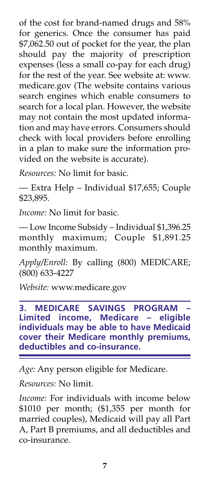of the cost for brand-named drugs and 58% for generics. Once the consumer has paid \$7,062.50 out of pocket for the year, the plan should pay the majority of prescription expenses (less a small co-pay for each drug) for the rest of the year. See website at: www. medicare.gov (The website contains various search engines which enable consumers to search for a local plan. However, the website may not contain the most updated information and may have errors. Consumers should check with local providers before enrolling in a plan to make sure the information provided on the website is accurate).

*Resources:* No limit for basic.

— Extra Help – Individual \$17,655; Couple \$23,895.

*Income:* No limit for basic.

— Low Income Subsidy – Individual \$1,396.25 monthly maximum; Couple \$1,891.25 monthly maximum.

*Apply/Enroll:* By calling (800) MEDICARE; (800) 633-4227

*Website:* www.medicare.gov

**3. MEDICARE SAVINGS PROGRAM Limited income, Medicare – eligible individuals may be able to have Medicaid cover their Medicare monthly premiums, deductibles and co-insurance.**

*Age:* Any person eligible for Medicare.

*Resources:* No limit.

*Income:* For individuals with income below \$1010 per month; (\$1,355 per month for married couples), Medicaid will pay all Part A, Part B premiums, and all deductibles and co-insurance.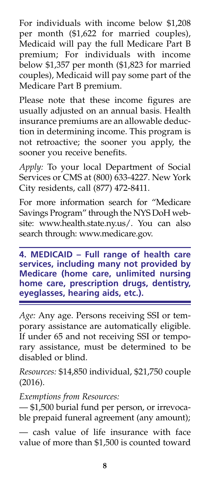For individuals with income below \$1,208 per month (\$1,622 for married couples), Medicaid will pay the full Medicare Part B premium; For individuals with income below \$1,357 per month (\$1,823 for married couples), Medicaid will pay some part of the Medicare Part B premium.

Please note that these income figures are usually adjusted on an annual basis. Health insurance premiums are an allowable deduction in determining income. This program is not retroactive; the sooner you apply, the sooner you receive benefits.

*Apply:* To your local Department of Social Services or CMS at (800) 633-4227. New York City residents, call (877) 472-8411.

For more information search for "Medicare Savings Program" through the NYS DoH website: www.health.state.ny.us/. You can also search through: www.medicare.gov.

**4. MEDICAID – Full range of health care services, including many not provided by Medicare (home care, unlimited nursing home care, prescription drugs, dentistry, eyeglasses, hearing aids, etc.).**

*Age:* Any age. Persons receiving SSI or temporary assistance are automatically eligible. If under 65 and not receiving SSI or temporary assistance, must be determined to be disabled or blind.

*Resources:* \$14,850 individual, \$21,750 couple (2016).

*Exemptions from Resources:*

— \$1,500 burial fund per person, or irrevocable prepaid funeral agreement (any amount);

— cash value of life insurance with face value of more than \$1,500 is counted toward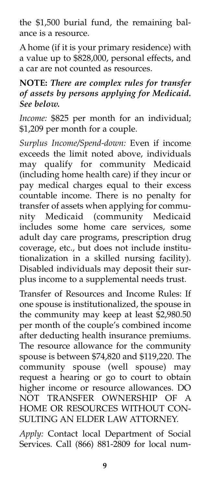the \$1,500 burial fund, the remaining balance is a resource.

A home (if it is your primary residence) with a value up to \$828,000, personal effects, and a car are not counted as resources.

# **NOTE:** *There are complex rules for transfer of assets by persons applying for Medicaid. See below.*

*Income:* \$825 per month for an individual; \$1,209 per month for a couple.

*Surplus Income/Spend-down:* Even if income exceeds the limit noted above, individuals may qualify for community Medicaid (including home health care) if they incur or pay medical charges equal to their excess countable income. There is no penalty for transfer of assets when applying for community Medicaid (community Medicaid includes some home care services, some adult day care programs, prescription drug coverage, etc., but does not include institutionalization in a skilled nursing facility). Disabled individuals may deposit their surplus income to a supplemental needs trust.

Transfer of Resources and Income Rules: If one spouse is institutionalized, the spouse in the community may keep at least  $\bar{\$2,980.50}$ per month of the couple's combined income after deducting health insurance premiums. The resource allowance for the community spouse is between \$74,820 and \$119,220. The community spouse (well spouse) may request a hearing or go to court to obtain higher income or resource allowances. DO NOT TRANSFER OWNERSHIP OF A HOME OR RESOURCES WITHOUT CON-SULTING AN ELDER LAW ATTORNEY.

*Apply:* Contact local Department of Social Services. Call (866) 881-2809 for local num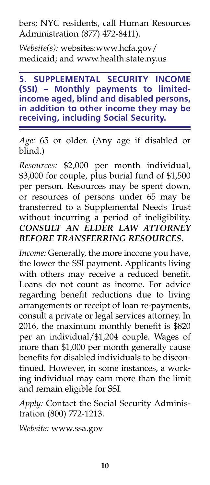bers; NYC residents, call Human Resources Administration (877) 472-8411).

*Website(s):* websites:www.hcfa.gov/ medicaid; and www.health.state.ny.us

**5. SUPPLEMENTAL SECURITY INCOME (SSI) – Monthly payments to limitedincome aged, blind and disabled persons, in addition to other income they may be receiving, including Social Security.**

*Age:* 65 or older. (Any age if disabled or blind.)

*Resources:* \$2,000 per month individual, \$3,000 for couple, plus burial fund of \$1,500 per person. Resources may be spent down, or resources of persons under 65 may be transferred to a Supplemental Needs Trust without incurring a period of ineligibility. *CONSULT AN ELDER LAW ATTORNEY BEFORE TRANSFERRING RESOURCES.*

*Income:* Generally, the more income you have, the lower the SSI payment. Applicants living with others may receive a reduced benefit. Loans do not count as income. For advice regarding benefit reductions due to living arrangements or receipt of loan re-payments, consult a private or legal services attorney. In 2016, the maximum monthly benefit is \$820 per an individual/\$1,204 couple. Wages of more than \$1,000 per month generally cause benefits for disabled individuals to be discontinued. However, in some instances, a working individual may earn more than the limit and remain eligible for SSI.

*Apply:* Contact the Social Security Administration (800) 772-1213.

*Website:* www.ssa.gov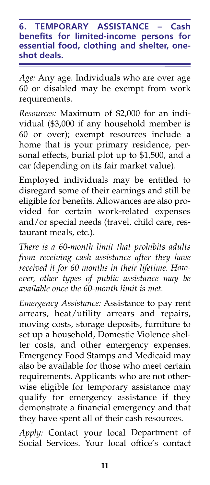**6. TEMPORARY ASSISTANCE – Cash benefits for limited-income persons for essential food, clothing and shelter, oneshot deals.**

*Age:* Any age. Individuals who are over age 60 or disabled may be exempt from work requirements.

*Resources:* Maximum of \$2,000 for an individual (\$3,000 if any household member is 60 or over); exempt resources include a home that is your primary residence, personal effects, burial plot up to \$1,500, and a car (depending on its fair market value).

Employed individuals may be entitled to disregard some of their earnings and still be eligible for benefits. Allowances are also provided for certain work-related expenses and/or special needs (travel, child care, restaurant meals, etc.).

*There is a 60-month limit that prohibits adults from receiving cash assistance after they have received it for 60 months in their lifetime. However, other types of public assistance may be available once the 60-month limit is met.*

*Emergency Assistance:* Assistance to pay rent arrears, heat/utility arrears and repairs, moving costs, storage deposits, furniture to set up a household, Domestic Violence shelter costs, and other emergency expenses. Emergency Food Stamps and Medicaid may also be available for those who meet certain requirements. Applicants who are not otherwise eligible for temporary assistance may qualify for emergency assistance if they demonstrate a financial emergency and that they have spent all of their cash resources.

*Apply:* Contact your local Department of Social Services. Your local office's contact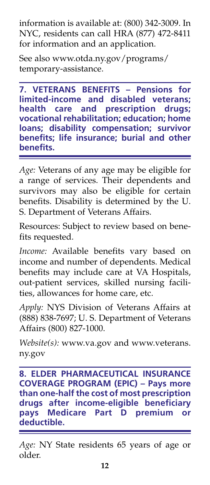information is available at: (800) 342-3009. In NYC, residents can call HRA (877) 472-8411 for information and an application.

See also www.otda.ny.gov/programs/ temporary-assistance.

**7. VETERANS BENEFITS – Pensions for limited-income and disabled veterans; health care and prescription drugs; vocational rehabilitation; education; home loans; disability compensation; survivor benefits; life insurance; burial and other benefits.**

*Age:* Veterans of any age may be eligible for a range of services. Their dependents and survivors may also be eligible for certain benefits. Disability is determined by the U. S. Department of Veterans Affairs.

Resources: Subject to review based on benefits requested.

*Income:* Available benefits vary based on income and number of dependents. Medical benefits may include care at VA Hospitals, out-patient services, skilled nursing facilities, allowances for home care, etc.

*Apply:* NYS Division of Veterans Affairs at (888) 838-7697; U. S. Department of Veterans Affairs (800) 827-1000.

*Website(s):* www.va.gov and www.veterans. ny.gov

**8. ELDER PHARMACEUTICAL INSURANCE COVERAGE PROGRAM (EPIC) – Pays more than one-half the cost of most prescription drugs after income-eligible beneficiary pays Medicare Part D premium or deductible.**

*Age:* NY State residents 65 years of age or older.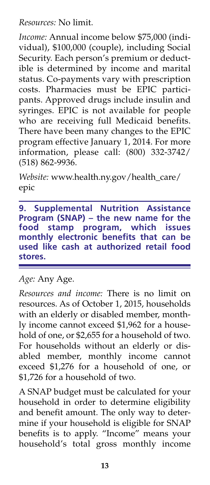*Resources:* No limit.

*Income:* Annual income below \$75,000 (individual), \$100,000 (couple), including Social Security. Each person's premium or deductible is determined by income and marital status. Co-payments vary with prescription costs. Pharmacies must be EPIC participants. Approved drugs include insulin and syringes. EPIC is not available for people who are receiving full Medicaid benefits. There have been many changes to the EPIC program effective January 1, 2014. For more information, please call: (800) 332-3742/ (518) 862-9936.

*Website:* www.health.ny.gov/health\_care/ epic

**9. Supplemental Nutrition Assistance Program (SNAP) – the new name for the food stamp program, which issues monthly electronic benefits that can be used like cash at authorized retail food stores.** 

*Age:* Any Age.

*Resources and income:* There is no limit on resources. As of October 1, 2015, households with an elderly or disabled member, monthly income cannot exceed \$1,962 for a household of one, or \$2,655 for a household of two. For households without an elderly or disabled member, monthly income cannot exceed \$1,276 for a household of one, or \$1,726 for a household of two.

A SNAP budget must be calculated for your household in order to determine eligibility and benefit amount. The only way to determine if your household is eligible for SNAP benefits is to apply. "Income" means your household's total gross monthly income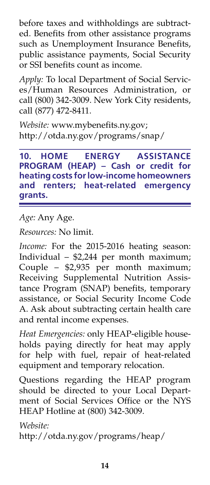before taxes and withholdings are subtracted. Benefits from other assistance programs such as Unemployment Insurance Benefits, public assistance payments, Social Security or SSI benefits count as income.

*Apply:* To local Department of Social Services/Human Resources Administration, or call (800) 342-3009. New York City residents, call (877) 472-8411.

*Website:* www.mybenefits.ny.gov; http://otda.ny.gov/programs/snap/

**10. HOME ENERGY ASSISTANCE PROGRAM (HEAP) – Cash or credit for heating costs for low-income homeowners and renters; heat-related emergency grants.**

*Age:* Any Age.

*Resources:* No limit.

Income: For the 2015-2016 heating season: Individual – \$2,244 per month maximum; Couple – \$2,935 per month maximum; Receiving Supplemental Nutrition Assistance Program (SNAP) benefits, temporary assistance, or Social Security Income Code A. Ask about subtracting certain health care and rental income expenses.

*Heat Emergencies:* only HEAP-eligible households paying directly for heat may apply for help with fuel, repair of heat-related equipment and temporary relocation.

Questions regarding the HEAP program should be directed to your Local Department of Social Services Office or the NYS HEAP Hotline at (800) 342-3009.

*Website:* 

http://otda.ny.gov/programs/heap/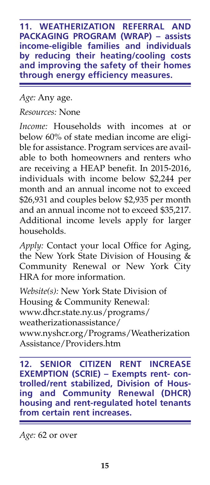**11. WEATHERIZATION REFERRAL AND PACKAGING PROGRAM (WRAP) – assists income-eligible families and individuals by reducing their heating/cooling costs and improving the safety of their homes through energy efficiency measures.**

*Age:* Any age. *Resources:* None

*Income:* Households with incomes at or below 60% of state median income are eligible for assistance. Program services are available to both homeowners and renters who are receiving a HEAP benefit. In 2015-2016, individuals with income below \$2,244 per month and an annual income not to exceed \$26,931 and couples below \$2,935 per month and an annual income not to exceed \$35,217. Additional income levels apply for larger households.

*Apply:* Contact your local Office for Aging, the New York State Division of Housing & Community Renewal or New York City HRA for more information.

*Website(s):* New York State Division of Housing & Community Renewal: www.dhcr.state.ny.us/programs/ weatherizationassistance/ www.nyshcr.org/Programs/Weatherization Assistance/Providers.htm

**12. SENIOR CITIZEN RENT INCREASE EXEMPTION (SCRIE) – Exempts rent- controlled/rent stabilized, Division of Housing and Community Renewal (DHCR) housing and rent-regulated hotel tenants from certain rent increases.**

*Age:* 62 or over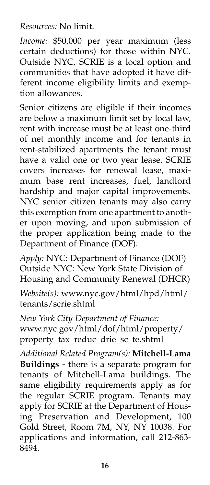*Resources:* No limit.

*Income:* \$50,000 per year maximum (less certain deductions) for those within NYC. Outside NYC, SCRIE is a local option and communities that have adopted it have different income eligibility limits and exemption allowances.

Senior citizens are eligible if their incomes are below a maximum limit set by local law, rent with increase must be at least one-third of net monthly income and for tenants in rent-stabilized apartments the tenant must have a valid one or two year lease. SCRIE covers increases for renewal lease, maximum base rent increases, fuel, landlord hardship and major capital improvements. NYC senior citizen tenants may also carry this exemption from one apartment to another upon moving, and upon submission of the proper application being made to the Department of Finance (DOF).

*Apply:* NYC: Department of Finance (DOF) Outside NYC: New York State Division of Housing and Community Renewal (DHCR)

*Website(s):* www.nyc.gov/html/hpd/html/ tenants/scrie.shtml

*New York City Department of Finance:* www.nyc.gov/html/dof/html/property/ property\_tax\_reduc\_drie\_sc\_te.shtml

*Additional Related Program(s):* **Mitchell-Lama Buildings** - there is a separate program for tenants of Mitchell-Lama buildings. The same eligibility requirements apply as for the regular SCRIE program. Tenants may apply for SCRIE at the Department of Housing Preservation and Development, 100 Gold Street, Room 7M, NY, NY 10038. For applications and information, call 212-863- 8494.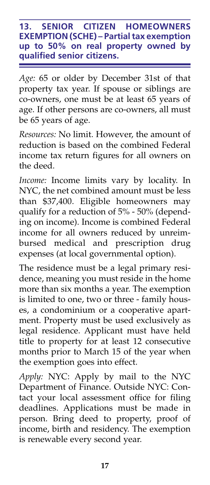#### **13. SENIOR CITIZEN HOMEOWNERS EXEMPTION (SCHE) – Partial tax exemption up to 50% on real property owned by qualified senior citizens.**

*Age:* 65 or older by December 31st of that property tax year. If spouse or siblings are co-owners, one must be at least 65 years of age. If other persons are co-owners, all must be 65 years of age.

*Resources:* No limit. However, the amount of reduction is based on the combined Federal income tax return figures for all owners on the deed.

*Income:* Income limits vary by locality. In NYC, the net combined amount must be less than \$37,400. Eligible homeowners may qualify for a reduction of 5% - 50% (depending on income). Income is combined Federal income for all owners reduced by unreimbursed medical and prescription drug expenses (at local governmental option).

The residence must be a legal primary residence, meaning you must reside in the home more than six months a year. The exemption is limited to one, two or three - family houses, a condominium or a cooperative apartment. Property must be used exclusively as legal residence. Applicant must have held title to property for at least 12 consecutive months prior to March 15 of the year when the exemption goes into effect.

*Apply:* NYC: Apply by mail to the NYC Department of Finance. Outside NYC: Contact your local assessment office for filing deadlines. Applications must be made in person. Bring deed to property, proof of income, birth and residency. The exemption is renewable every second year.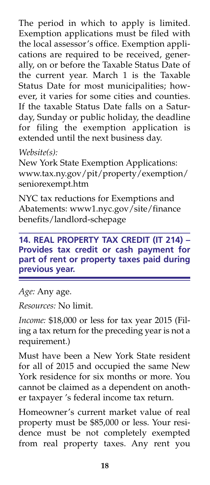The period in which to apply is limited. Exemption applications must be filed with the local assessor's office. Exemption applications are required to be received, generally, on or before the Taxable Status Date of the current year. March 1 is the Taxable Status Date for most municipalities; however, it varies for some cities and counties. If the taxable Status Date falls on a Saturday, Sunday or public holiday, the deadline for filing the exemption application is extended until the next business day.

# *Website(s):*

New York State Exemption Applications: www.tax.ny.gov/pit/property/exemption/ seniorexempt.htm

NYC tax reductions for Exemptions and Abatements: www1.nyc.gov/site/finance benefits/landlord-schepage

# **14. REAL PROPERTY TAX CREDIT (IT 214) – Provides tax credit or cash payment for part of rent or property taxes paid during previous year.**

*Age:* Any age.

*Resources:* No limit.

*Income:* \$18,000 or less for tax year 2015 (Filing a tax return for the preceding year is not a requirement.)

Must have been a New York State resident for all of 2015 and occupied the same New York residence for six months or more. You cannot be claimed as a dependent on another taxpayer 's federal income tax return.

Homeowner's current market value of real property must be \$85,000 or less. Your residence must be not completely exempted from real property taxes. Any rent you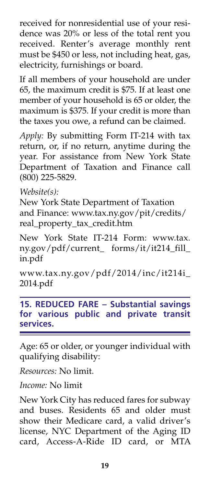received for nonresidential use of your residence was 20% or less of the total rent you received. Renter's average monthly rent must be \$450 or less, not including heat, gas, electricity, furnishings or board.

If all members of your household are under 65, the maximum credit is \$75. If at least one member of your household is 65 or older, the maximum is \$375. If your credit is more than the taxes you owe, a refund can be claimed.

*Apply:* By submitting Form IT-214 with tax return, or, if no return, anytime during the year. For assistance from New York State Department of Taxation and Finance call (800) 225-5829.

*Website(s):*

New York State Department of Taxation and Finance: www.tax.ny.gov/pit/credits/ real\_property\_tax\_credit.htm

New York State IT-214 Form: www.tax. ny.gov/pdf/current\_ forms/it/it214\_fill\_ in.pdf

www.tax.ny.gov/pdf/2014/inc/it214i\_ 2014.pdf

**15. REDUCED FARE – Substantial savings for various public and private transit services.**

Age: 65 or older, or younger individual with qualifying disability:

*Resources:* No limit.

*Income:* No limit

New York City has reduced fares for subway and buses. Residents 65 and older must show their Medicare card, a valid driver's license, NYC Department of the Aging ID card, Access-A-Ride ID card, or MTA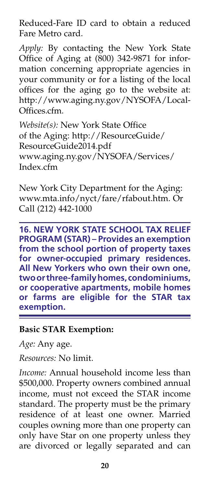Reduced-Fare ID card to obtain a reduced Fare Metro card.

*Apply:* By contacting the New York State Office of Aging at (800) 342-9871 for information concerning appropriate agencies in your community or for a listing of the local offices for the aging go to the website at: http://www.aging.ny.gov/NYSOFA/Local-Offices.cfm.

*Website(s):* New York State Office of the Aging: http://ResourceGuide/ ResourceGuide2014.pdf www.aging.ny.gov/NYSOFA/Services/ Index.cfm

New York City Department for the Aging: www.mta.info/nyct/fare/rfabout.htm. Or Call (212) 442-1000

**16. NEW YORK STATE SCHOOL TAX RELIEF PROGRAM (STAR) – Provides an exemption from the school portion of property taxes for owner-occupied primary residences. All New Yorkers who own their own one, two or three-family homes, condominiums, or cooperative apartments, mobile homes or farms are eligible for the STAR tax exemption.**

#### **Basic STAR Exemption:**

*Age:* Any age.

*Resources:* No limit.

*Income:* Annual household income less than \$500,000. Property owners combined annual income, must not exceed the STAR income standard. The property must be the primary residence of at least one owner. Married couples owning more than one property can only have Star on one property unless they are divorced or legally separated and can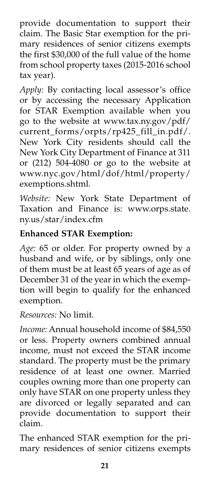provide documentation to support their claim. The Basic Star exemption for the primary residences of senior citizens exempts the first \$30,000 of the full value of the home from school property taxes (2015-2016 school tax year).

*Apply:* By contacting local assessor's office or by accessing the necessary Application for STAR Exemption available when you go to the website at www.tax.ny.gov/pdf/ current\_forms/orpts/rp425\_fill\_in.pdf/. New York City residents should call the New York City Department of Finance at 311 or (212) 504-4080 or go to the website at www.nyc.gov/html/dof/html/property/ exemptions.shtml.

*Website:* New York State Department of Taxation and Finance is: www.orps.state. ny.us/star/index.cfm

# **Enhanced STAR Exemption:**

*Age:* 65 or older. For property owned by a husband and wife, or by siblings, only one of them must be at least 65 years of age as of December 31 of the year in which the exemption will begin to qualify for the enhanced exemption.

*Resources:* No limit.

*Income:* Annual household income of \$84,550 or less. Property owners combined annual income, must not exceed the STAR income standard. The property must be the primary residence of at least one owner. Married couples owning more than one property can only have STAR on one property unless they are divorced or legally separated and can provide documentation to support their claim.

The enhanced STAR exemption for the primary residences of senior citizens exempts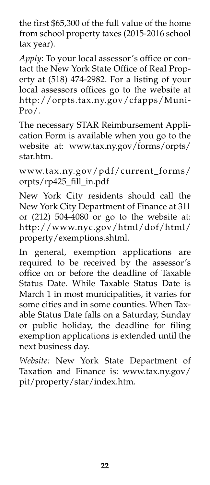the first \$65,300 of the full value of the home from school property taxes (2015-2016 school tax year).

*Apply*: To your local assessor's office or contact the New York State Office of Real Property at (518) 474-2982. For a listing of your local assessors offices go to the website at http://orpts.tax.ny.gov/cfapps/Muni- $Pro/$ .

The necessary STAR Reimbursement Application Form is available when you go to the website at: www.tax.ny.gov/forms/orpts/ star.htm.

www.tax.ny.gov/pdf/current\_forms/ orpts/rp425\_fill\_in.pdf

New York City residents should call the New York City Department of Finance at 311 or (212) 504-4080 or go to the website at: http://www.nyc.gov/html/dof/html/ property/exemptions.shtml.

In general, exemption applications are required to be received by the assessor's office on or before the deadline of Taxable Status Date. While Taxable Status Date is March 1 in most municipalities, it varies for some cities and in some counties. When Taxable Status Date falls on a Saturday, Sunday or public holiday, the deadline for filing exemption applications is extended until the next business day.

*Website:* New York State Department of Taxation and Finance is: www.tax.ny.gov/ pit/property/star/index.htm.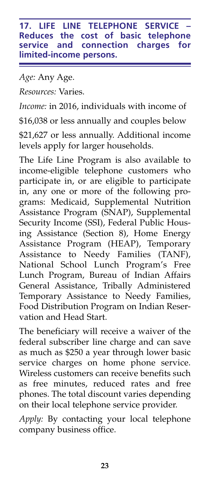**17. LIFE LINE TELEPHONE SERVICE Reduces the cost of basic telephone service and connection charges for limited-income persons.**

*Age:* Any Age.

*Resources:* Varies.

*Income:* in 2016, individuals with income of

\$16,038 or less annually and couples below

\$21,627 or less annually. Additional income levels apply for larger households.

The Life Line Program is also available to income-eligible telephone customers who participate in, or are eligible to participate in, any one or more of the following programs: Medicaid, Supplemental Nutrition Assistance Program (SNAP), Supplemental Security Income (SSI), Federal Public Housing Assistance (Section 8), Home Energy Assistance Program (HEAP), Temporary Assistance to Needy Families (TANF), National School Lunch Program's Free Lunch Program, Bureau of Indian Affairs General Assistance, Tribally Administered Temporary Assistance to Needy Families, Food Distribution Program on Indian Reservation and Head Start.

The beneficiary will receive a waiver of the federal subscriber line charge and can save as much as \$250 a year through lower basic service charges on home phone service. Wireless customers can receive benefits such as free minutes, reduced rates and free phones. The total discount varies depending on their local telephone service provider.

*Apply:* By contacting your local telephone company business office.